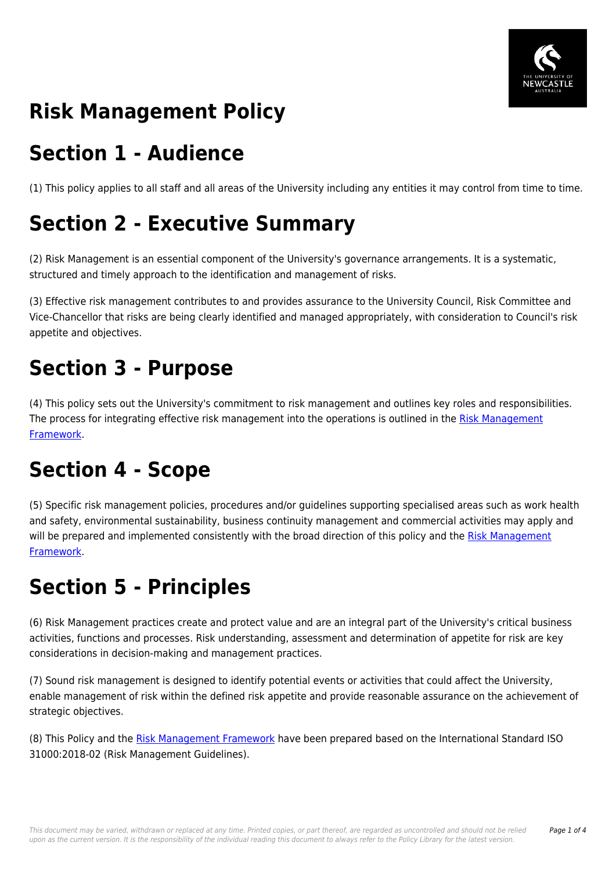

# **Risk Management Policy**

## **Section 1 - Audience**

(1) This policy applies to all staff and all areas of the University including any entities it may control from time to time.

# **Section 2 - Executive Summary**

(2) Risk Management is an essential component of the University's governance arrangements. It is a systematic, structured and timely approach to the identification and management of risks.

(3) Effective risk management contributes to and provides assurance to the University Council, Risk Committee and Vice-Chancellor that risks are being clearly identified and managed appropriately, with consideration to Council's risk appetite and objectives.

## **Section 3 - Purpose**

(4) This policy sets out the University's commitment to risk management and outlines key roles and responsibilities. The process for integrating effective risk management into the operations is outlined in the [Risk Management](https://policies.newcastle.edu.au/document/view-current.php?id=247) [Framework.](https://policies.newcastle.edu.au/document/view-current.php?id=247)

# **Section 4 - Scope**

(5) Specific risk management policies, procedures and/or guidelines supporting specialised areas such as work health and safety, environmental sustainability, business continuity management and commercial activities may apply and will be prepared and implemented consistently with the broad direction of this policy and the [Risk Management](https://policies.newcastle.edu.au/document/view-current.php?id=247) [Framework.](https://policies.newcastle.edu.au/document/view-current.php?id=247)

## **Section 5 - Principles**

(6) Risk Management practices create and protect value and are an integral part of the University's critical business activities, functions and processes. Risk understanding, assessment and determination of appetite for risk are key considerations in decision-making and management practices.

(7) Sound risk management is designed to identify potential events or activities that could affect the University, enable management of risk within the defined risk appetite and provide reasonable assurance on the achievement of strategic objectives.

(8) This Policy and the [Risk Management Framework](https://policies.newcastle.edu.au/document/view-current.php?id=247) have been prepared based on the International Standard ISO 31000:2018-02 (Risk Management Guidelines).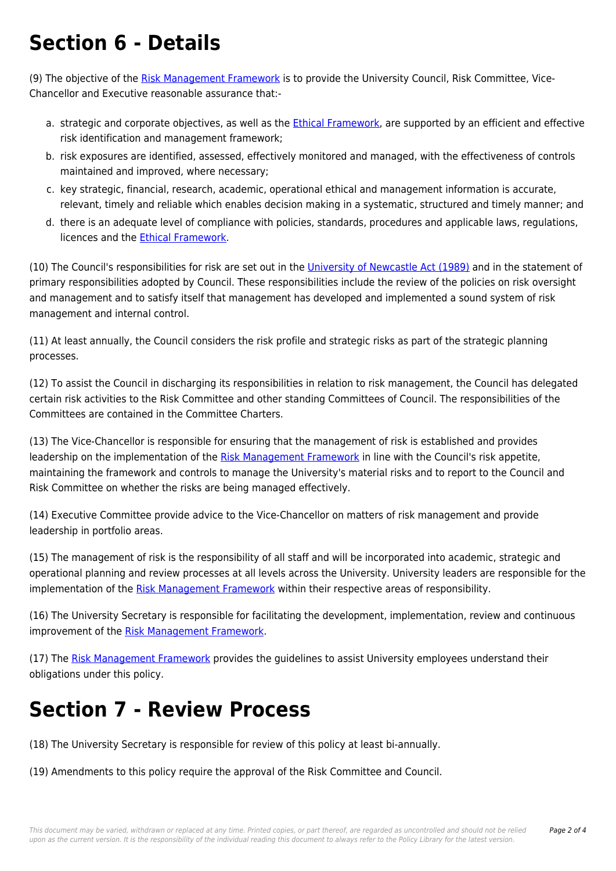# **Section 6 - Details**

(9) The objective of the [Risk Management Framework](https://policies.newcastle.edu.au/document/view-current.php?id=247) is to provide the University Council, Risk Committee, Vice-Chancellor and Executive reasonable assurance that:-

- a. strategic and corporate objectives, as well as the [Ethical Framework,](https://policies.newcastle.edu.au/document/view-current.php?id=317) are supported by an efficient and effective risk identification and management framework;
- b. risk exposures are identified, assessed, effectively monitored and managed, with the effectiveness of controls maintained and improved, where necessary;
- c. key strategic, financial, research, academic, operational ethical and management information is accurate, relevant, timely and reliable which enables decision making in a systematic, structured and timely manner; and
- d. there is an adequate level of compliance with policies, standards, procedures and applicable laws, regulations, licences and the [Ethical Framework.](https://policies.newcastle.edu.au/document/view-current.php?id=317)

(10) The Council's responsibilities for risk are set out in the [University of Newcastle Act \(1989\)](https://policies.newcastle.edu.au/directory-summary.php?legislation=17) and in the statement of primary responsibilities adopted by Council. These responsibilities include the review of the policies on risk oversight and management and to satisfy itself that management has developed and implemented a sound system of risk management and internal control.

(11) At least annually, the Council considers the risk profile and strategic risks as part of the strategic planning processes.

(12) To assist the Council in discharging its responsibilities in relation to risk management, the Council has delegated certain risk activities to the Risk Committee and other standing Committees of Council. The responsibilities of the Committees are contained in the Committee Charters.

(13) The Vice-Chancellor is responsible for ensuring that the management of risk is established and provides leadership on the implementation of the [Risk Management Framework](https://policies.newcastle.edu.au/document/view-current.php?id=247) in line with the Council's risk appetite, maintaining the framework and controls to manage the University's material risks and to report to the Council and Risk Committee on whether the risks are being managed effectively.

(14) Executive Committee provide advice to the Vice-Chancellor on matters of risk management and provide leadership in portfolio areas.

(15) The management of risk is the responsibility of all staff and will be incorporated into academic, strategic and operational planning and review processes at all levels across the University. University leaders are responsible for the implementation of the [Risk Management Framework](https://policies.newcastle.edu.au/document/view-current.php?id=247) within their respective areas of responsibility.

(16) The University Secretary is responsible for facilitating the development, implementation, review and continuous improvement of the [Risk Management Framework](https://policies.newcastle.edu.au/document/view-current.php?id=247).

(17) The [Risk Management Framework](https://policies.newcastle.edu.au/document/view-current.php?id=247) provides the guidelines to assist University employees understand their obligations under this policy.

# **Section 7 - Review Process**

(18) The University Secretary is responsible for review of this policy at least bi-annually.

(19) Amendments to this policy require the approval of the Risk Committee and Council.